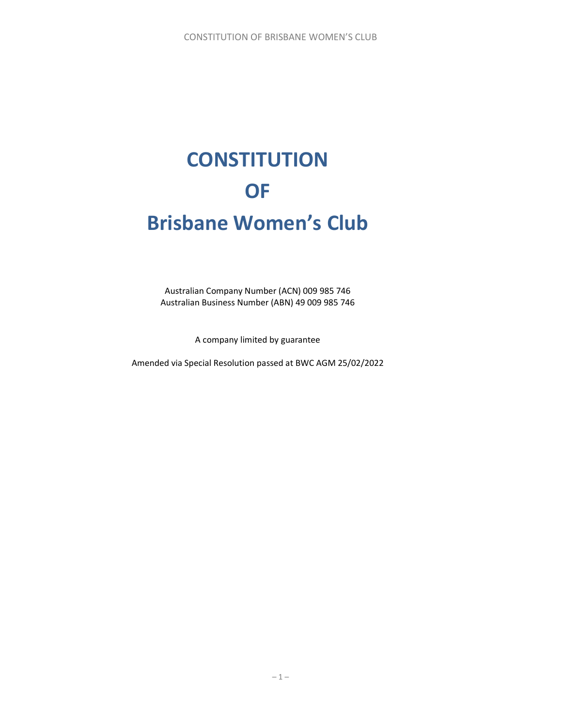# **CONSTITUTION** OF Brisbane Women's Club

Australian Company Number (ACN) 009 985 746 Australian Business Number (ABN) 49 009 985 746

A company limited by guarantee

Amended via Special Resolution passed at BWC AGM 25/02/2022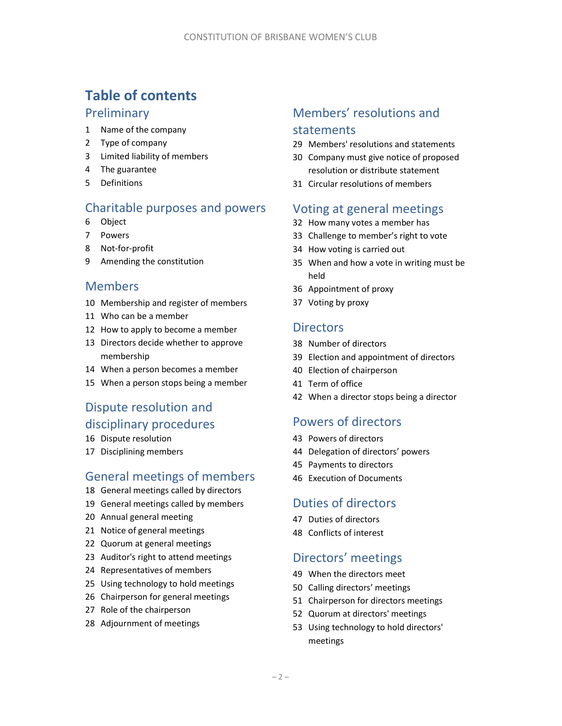# Table of contents

### **Preliminary**

- Name of the company
- Type of company
- Limited liability of members
- The guarantee
- Definitions

# Charitable purposes and powers

- Object
- Powers
- Not-for-profit
- Amending the constitution

### Members

- Membership and register of members
- Who can be a member
- How to apply to become a member
- Directors decide whether to approve membership
- When a person becomes a member
- When a person stops being a member

# Dispute resolution and disciplinary procedures

- Dispute resolution
- Disciplining members

# General meetings of members

- General meetings called by directors
- General meetings called by members
- Annual general meeting
- Notice of general meetings
- Quorum at general meetings
- Auditor's right to attend meetings
- Representatives of members
- Using technology to hold meetings
- Chairperson for general meetings
- Role of the chairperson
- Adjournment of meetings

# Members' resolutions and

### statements

- Members' resolutions and statements
- Company must give notice of proposed resolution or distribute statement
- Circular resolutions of members

### Voting at general meetings

- How many votes a member has
- Challenge to member's right to vote
- How voting is carried out
- When and how a vote in writing must be held
- Appointment of proxy
- Voting by proxy

### **Directors**

- Number of directors
- Election and appointment of directors
- Election of chairperson
- Term of office
- When a director stops being a director

# Powers of directors

- Powers of directors
- Delegation of directors' powers
- Payments to directors
- Execution of Documents

# Duties of directors

- Duties of directors
- Conflicts of interest

# Directors' meetings

- When the directors meet
- Calling directors' meetings
- Chairperson for directors meetings
- Quorum at directors' meetings
- Using technology to hold directors' meetings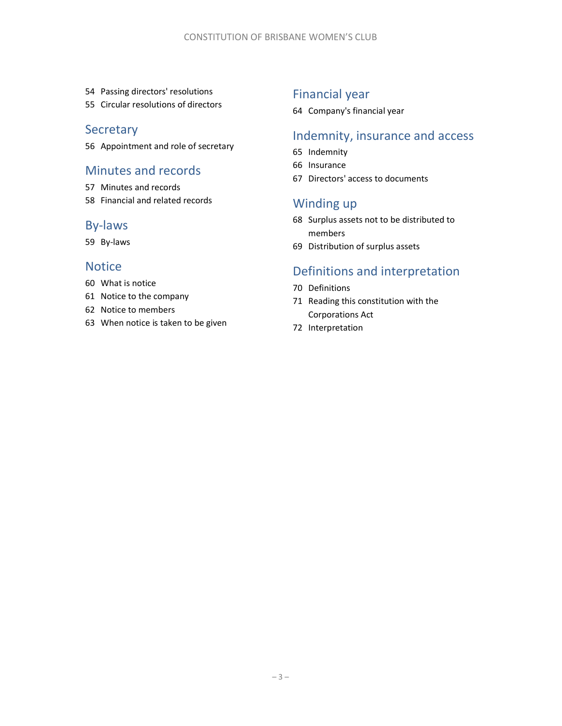- Passing directors' resolutions
- Circular resolutions of directors

### **Secretary**

Appointment and role of secretary

### Minutes and records

- Minutes and records
- Financial and related records

### By-laws

By-laws

### **Notice**

- What is notice
- Notice to the company
- Notice to members
- When notice is taken to be given

# Financial year

Company's financial year

### Indemnity, insurance and access

- Indemnity
- Insurance
- Directors' access to documents

### Winding up

- Surplus assets not to be distributed to members
- Distribution of surplus assets

# Definitions and interpretation

- Definitions
- Reading this constitution with the Corporations Act
- Interpretation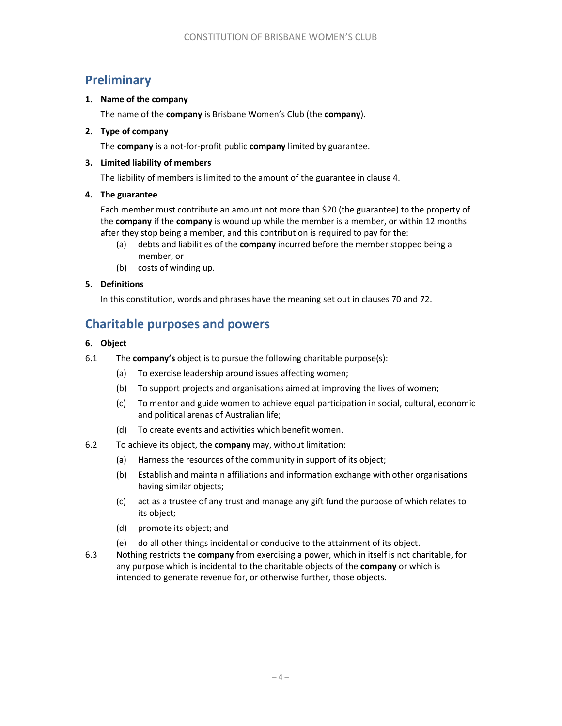# **Preliminary**

### 1. Name of the company

The name of the company is Brisbane Women's Club (the company).

### 2. Type of company

The company is a not-for-profit public company limited by guarantee.

### 3. Limited liability of members

The liability of members is limited to the amount of the guarantee in clause 4.

### 4. The guarantee

Each member must contribute an amount not more than \$20 (the guarantee) to the property of the company if the company is wound up while the member is a member, or within 12 months after they stop being a member, and this contribution is required to pay for the:

- (a) debts and liabilities of the **company** incurred before the member stopped being a member, or
- (b) costs of winding up.

### 5. Definitions

In this constitution, words and phrases have the meaning set out in clauses 70 and 72.

# Charitable purposes and powers

### 6. Object

- 6.1 The **company's** object is to pursue the following charitable purpose(s):
	- (a) To exercise leadership around issues affecting women;
	- (b) To support projects and organisations aimed at improving the lives of women;
	- (c) To mentor and guide women to achieve equal participation in social, cultural, economic and political arenas of Australian life;
	- (d) To create events and activities which benefit women.
- 6.2 To achieve its object, the company may, without limitation:
	- (a) Harness the resources of the community in support of its object;
	- (b) Establish and maintain affiliations and information exchange with other organisations having similar objects;
	- (c) act as a trustee of any trust and manage any gift fund the purpose of which relates to its object;
	- (d) promote its object; and
	- (e) do all other things incidental or conducive to the attainment of its object.
- 6.3 Nothing restricts the company from exercising a power, which in itself is not charitable, for any purpose which is incidental to the charitable objects of the **company** or which is intended to generate revenue for, or otherwise further, those objects.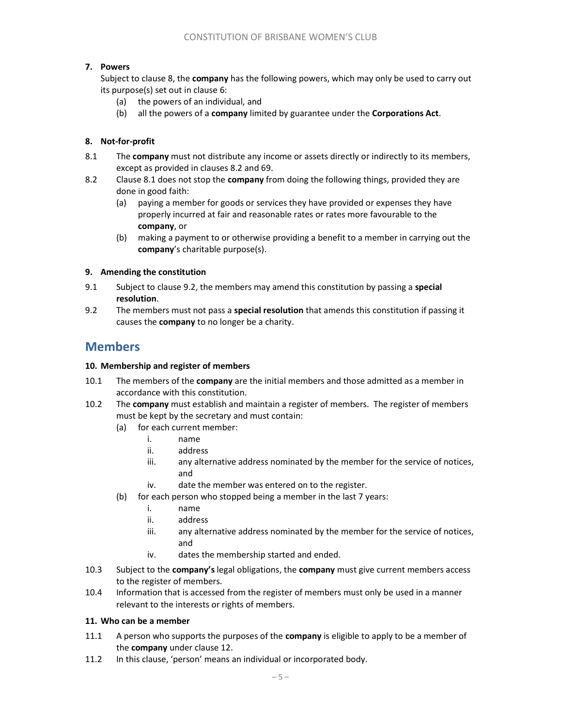### 7. Powers

Subject to clause 8, the company has the following powers, which may only be used to carry out its purpose(s) set out in clause 6:

- (a) the powers of an individual, and
- (b) all the powers of a company limited by guarantee under the Corporations Act.

### 8. Not-for-profit

- 8.1 The company must not distribute any income or assets directly or indirectly to its members, except as provided in clauses 8.2 and 69.
- 8.2 Clause 8.1 does not stop the **company** from doing the following things, provided they are done in good faith:
	- (a) paying a member for goods or services they have provided or expenses they have properly incurred at fair and reasonable rates or rates more favourable to the company, or
	- (b) making a payment to or otherwise providing a benefit to a member in carrying out the company's charitable purpose(s).

### 9. Amending the constitution

- 9.1 Subject to clause 9.2, the members may amend this constitution by passing a special resolution.
- 9.2 The members must not pass a **special resolution** that amends this constitution if passing it causes the company to no longer be a charity.

### Members

#### 10. Membership and register of members

- 10.1 The members of the company are the initial members and those admitted as a member in accordance with this constitution.
- 10.2 The company must establish and maintain a register of members. The register of members must be kept by the secretary and must contain:
	- (a) for each current member:
		- i. name
		- ii. address
		- iii. any alternative address nominated by the member for the service of notices, and
		- iv. date the member was entered on to the register.
	- (b) for each person who stopped being a member in the last 7 years:
		- i. name
		- ii. address
		- iii. any alternative address nominated by the member for the service of notices, and
		- iv. dates the membership started and ended.
- 10.3 Subject to the company's legal obligations, the company must give current members access to the register of members.
- 10.4 Information that is accessed from the register of members must only be used in a manner relevant to the interests or rights of members.

### 11. Who can be a member

- 11.1 A person who supports the purposes of the **company** is eligible to apply to be a member of the company under clause 12.
- 11.2 In this clause, 'person' means an individual or incorporated body.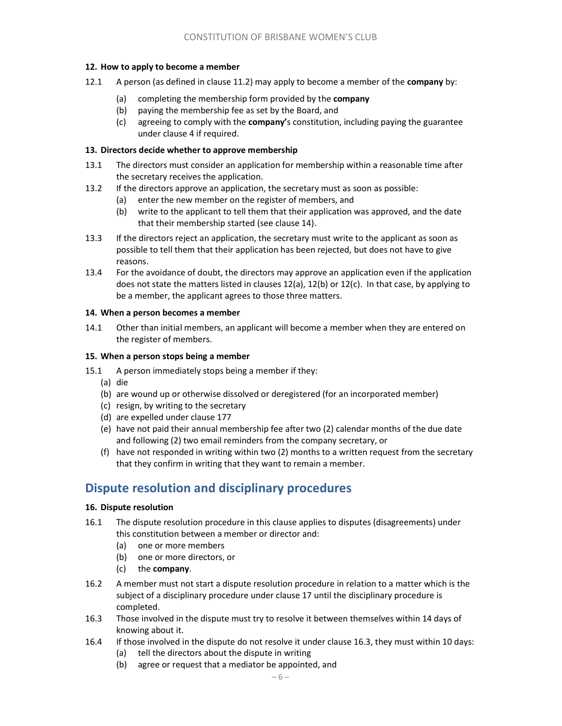### 12. How to apply to become a member

- 12.1 A person (as defined in clause 11.2) may apply to become a member of the **company** by:
	- (a) completing the membership form provided by the company
	- (b) paying the membership fee as set by the Board, and
	- (c) agreeing to comply with the **company'**s constitution, including paying the guarantee under clause 4 if required.

### 13. Directors decide whether to approve membership

- 13.1 The directors must consider an application for membership within a reasonable time after the secretary receives the application.
- 13.2 If the directors approve an application, the secretary must as soon as possible:
	- (a) enter the new member on the register of members, and
	- (b) write to the applicant to tell them that their application was approved, and the date that their membership started (see clause 14).
- 13.3 If the directors reject an application, the secretary must write to the applicant as soon as possible to tell them that their application has been rejected, but does not have to give reasons.
- 13.4 For the avoidance of doubt, the directors may approve an application even if the application does not state the matters listed in clauses  $12(a)$ ,  $12(b)$  or  $12(c)$ . In that case, by applying to be a member, the applicant agrees to those three matters.

### 14. When a person becomes a member

14.1 Other than initial members, an applicant will become a member when they are entered on the register of members.

### 15. When a person stops being a member

- 15.1 A person immediately stops being a member if they:
	- (a) die
	- (b) are wound up or otherwise dissolved or deregistered (for an incorporated member)
	- (c) resign, by writing to the secretary
	- (d) are expelled under clause 177
	- (e) have not paid their annual membership fee after two (2) calendar months of the due date and following (2) two email reminders from the company secretary, or
	- (f) have not responded in writing within two (2) months to a written request from the secretary that they confirm in writing that they want to remain a member.

# Dispute resolution and disciplinary procedures

#### 16. Dispute resolution

- 16.1 The dispute resolution procedure in this clause applies to disputes (disagreements) under this constitution between a member or director and:
	- (a) one or more members
	- (b) one or more directors, or
	- (c) the company.
- 16.2 A member must not start a dispute resolution procedure in relation to a matter which is the subject of a disciplinary procedure under clause 17 until the disciplinary procedure is completed.
- 16.3 Those involved in the dispute must try to resolve it between themselves within 14 days of knowing about it.
- 16.4 If those involved in the dispute do not resolve it under clause 16.3, they must within 10 days:
	- (a) tell the directors about the dispute in writing
	- (b) agree or request that a mediator be appointed, and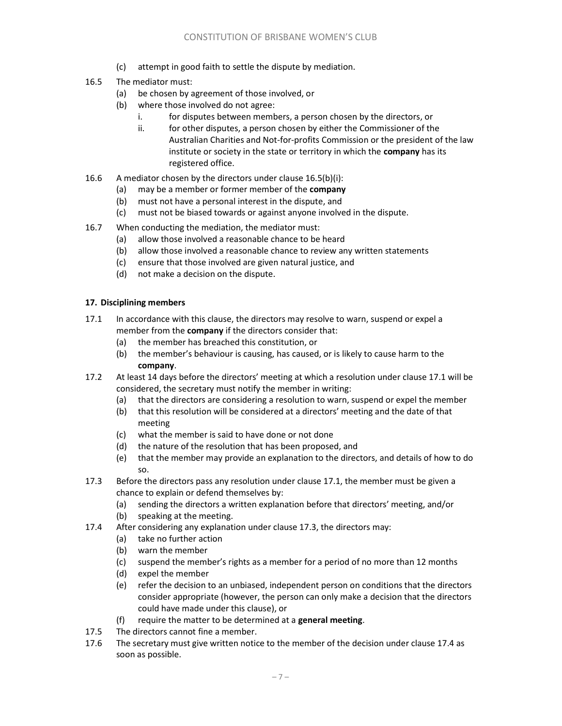- (c) attempt in good faith to settle the dispute by mediation.
- 16.5 The mediator must:
	- (a) be chosen by agreement of those involved, or
	- (b) where those involved do not agree:
		- i. for disputes between members, a person chosen by the directors, or
		- ii. for other disputes, a person chosen by either the Commissioner of the Australian Charities and Not-for-profits Commission or the president of the law institute or society in the state or territory in which the company has its registered office.
- 16.6 A mediator chosen by the directors under clause 16.5(b)(i):
	- (a) may be a member or former member of the **company**
	- (b) must not have a personal interest in the dispute, and
	- (c) must not be biased towards or against anyone involved in the dispute.
- 16.7 When conducting the mediation, the mediator must:
	- (a) allow those involved a reasonable chance to be heard
	- (b) allow those involved a reasonable chance to review any written statements
	- (c) ensure that those involved are given natural justice, and
	- (d) not make a decision on the dispute.

### 17. Disciplining members

- 17.1 In accordance with this clause, the directors may resolve to warn, suspend or expel a member from the **company** if the directors consider that:
	- (a) the member has breached this constitution, or
	- (b) the member's behaviour is causing, has caused, or is likely to cause harm to the company.
- 17.2 At least 14 days before the directors' meeting at which a resolution under clause 17.1 will be considered, the secretary must notify the member in writing:
	- (a) that the directors are considering a resolution to warn, suspend or expel the member
	- (b) that this resolution will be considered at a directors' meeting and the date of that meeting
	- (c) what the member is said to have done or not done
	- (d) the nature of the resolution that has been proposed, and
	- (e) that the member may provide an explanation to the directors, and details of how to do so.
- 17.3 Before the directors pass any resolution under clause 17.1, the member must be given a chance to explain or defend themselves by:
	- (a) sending the directors a written explanation before that directors' meeting, and/or
	- (b) speaking at the meeting.
- 17.4 After considering any explanation under clause 17.3, the directors may:
	- (a) take no further action
	- (b) warn the member
	- (c) suspend the member's rights as a member for a period of no more than 12 months
	- (d) expel the member
	- (e) refer the decision to an unbiased, independent person on conditions that the directors consider appropriate (however, the person can only make a decision that the directors could have made under this clause), or
	- (f) require the matter to be determined at a general meeting.
- 17.5 The directors cannot fine a member.
- 17.6 The secretary must give written notice to the member of the decision under clause 17.4 as soon as possible.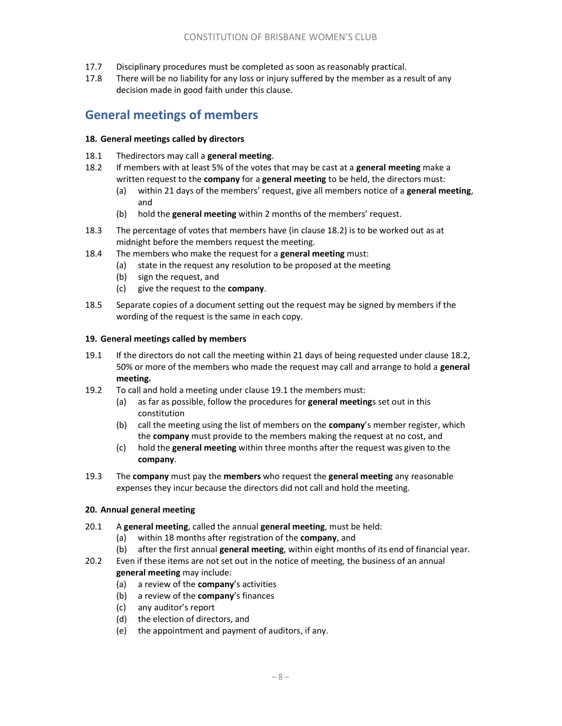- 17.7 Disciplinary procedures must be completed as soon as reasonably practical.
- 17.8 There will be no liability for any loss or injury suffered by the member as a result of any decision made in good faith under this clause.

# General meetings of members

#### 18. General meetings called by directors

- 18.1 Thedirectors may call a general meeting.
- 18.2 If members with at least 5% of the votes that may be cast at a general meeting make a written request to the **company** for a **general meeting** to be held, the directors must:
	- (a) within 21 days of the members' request, give all members notice of a general meeting, and
	- (b) hold the general meeting within 2 months of the members' request.
- 18.3 The percentage of votes that members have (in clause 18.2) is to be worked out as at midnight before the members request the meeting.
- 18.4 The members who make the request for a general meeting must:
	- (a) state in the request any resolution to be proposed at the meeting
	- (b) sign the request, and
	- (c) give the request to the company.
- 18.5 Separate copies of a document setting out the request may be signed by members if the wording of the request is the same in each copy.

#### 19. General meetings called by members

- 19.1 If the directors do not call the meeting within 21 days of being requested under clause 18.2, 50% or more of the members who made the request may call and arrange to hold a general meeting.
- 19.2 To call and hold a meeting under clause 19.1 the members must:
	- (a) as far as possible, follow the procedures for **general meeting**s set out in this constitution
	- (b) call the meeting using the list of members on the **company'**s member register, which the company must provide to the members making the request at no cost, and
	- (c) hold the general meeting within three months after the request was given to the company.
- 19.3 The company must pay the members who request the general meeting any reasonable expenses they incur because the directors did not call and hold the meeting.

#### 20. Annual general meeting

- 20.1 A general meeting, called the annual general meeting, must be held:
	- (a) within 18 months after registration of the company, and
	- (b) after the first annual general meeting, within eight months of its end of financial year.
- 20.2 Even if these items are not set out in the notice of meeting, the business of an annual general meeting may include:
	- (a) a review of the company's activities
	- (b) a review of the **company's** finances
	- (c) any auditor's report
	- (d) the election of directors, and
	- (e) the appointment and payment of auditors, if any.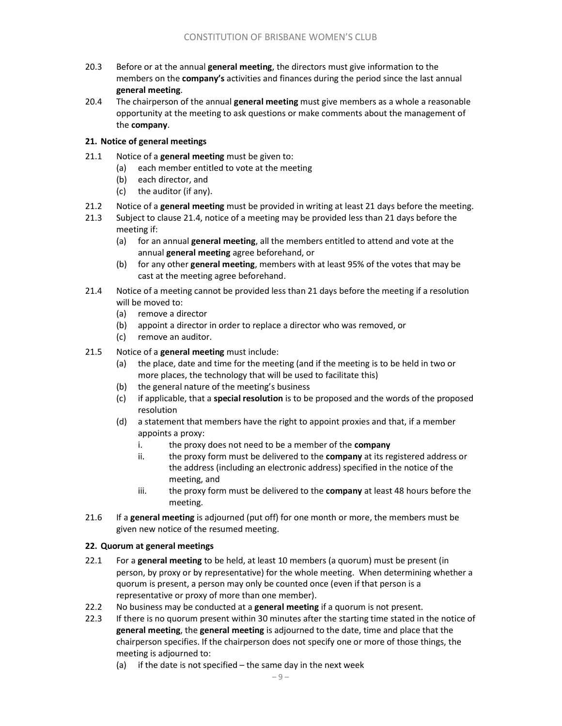- 20.3 Before or at the annual general meeting, the directors must give information to the members on the **company's** activities and finances during the period since the last annual general meeting.
- 20.4 The chairperson of the annual general meeting must give members as a whole a reasonable opportunity at the meeting to ask questions or make comments about the management of the company.

### 21. Notice of general meetings

- 21.1 Notice of a general meeting must be given to:
	- (a) each member entitled to vote at the meeting
	- (b) each director, and
	- (c) the auditor (if any).
- 21.2 Notice of a general meeting must be provided in writing at least 21 days before the meeting.
- 21.3 Subject to clause 21.4, notice of a meeting may be provided less than 21 days before the meeting if:
	- (a) for an annual general meeting, all the members entitled to attend and vote at the annual general meeting agree beforehand, or
	- (b) for any other general meeting, members with at least 95% of the votes that may be cast at the meeting agree beforehand.
- 21.4 Notice of a meeting cannot be provided less than 21 days before the meeting if a resolution will be moved to:
	- (a) remove a director
	- (b) appoint a director in order to replace a director who was removed, or
	- (c) remove an auditor.
- 21.5 Notice of a general meeting must include:
	- (a) the place, date and time for the meeting (and if the meeting is to be held in two or more places, the technology that will be used to facilitate this)
	- (b) the general nature of the meeting's business
	- $(c)$  if applicable, that a special resolution is to be proposed and the words of the proposed resolution
	- (d) a statement that members have the right to appoint proxies and that, if a member appoints a proxy:
		- i. the proxy does not need to be a member of the **company**
		- ii. the proxy form must be delivered to the **company** at its registered address or the address (including an electronic address) specified in the notice of the meeting, and
		- iii. the proxy form must be delivered to the company at least 48 hours before the meeting.
- 21.6 If a **general meeting** is adjourned (put off) for one month or more, the members must be given new notice of the resumed meeting.

#### 22. Quorum at general meetings

- 22.1 For a general meeting to be held, at least 10 members (a quorum) must be present (in person, by proxy or by representative) for the whole meeting. When determining whether a quorum is present, a person may only be counted once (even if that person is a representative or proxy of more than one member).
- 22.2 No business may be conducted at a general meeting if a quorum is not present.
- 22.3 If there is no quorum present within 30 minutes after the starting time stated in the notice of general meeting, the general meeting is adjourned to the date, time and place that the chairperson specifies. If the chairperson does not specify one or more of those things, the meeting is adjourned to:
	- (a) if the date is not specified  $-$  the same day in the next week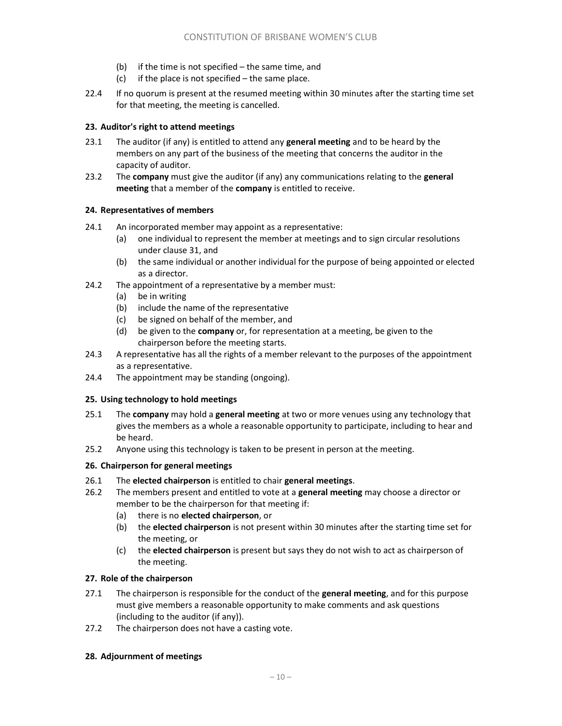- (b) if the time is not specified the same time, and
- $(c)$  if the place is not specified the same place.
- 22.4 If no quorum is present at the resumed meeting within 30 minutes after the starting time set for that meeting, the meeting is cancelled.

### 23. Auditor's right to attend meetings

- 23.1 The auditor (if any) is entitled to attend any general meeting and to be heard by the members on any part of the business of the meeting that concerns the auditor in the capacity of auditor.
- 23.2 The company must give the auditor (if any) any communications relating to the general meeting that a member of the company is entitled to receive.

#### 24. Representatives of members

- 24.1 An incorporated member may appoint as a representative:
	- (a) one individual to represent the member at meetings and to sign circular resolutions under clause 31, and
	- (b) the same individual or another individual for the purpose of being appointed or elected as a director.
- 24.2 The appointment of a representative by a member must:
	- (a) be in writing
	- (b) include the name of the representative
	- (c) be signed on behalf of the member, and
	- (d) be given to the **company** or, for representation at a meeting, be given to the chairperson before the meeting starts.
- 24.3 A representative has all the rights of a member relevant to the purposes of the appointment as a representative.
- 24.4 The appointment may be standing (ongoing).

#### 25. Using technology to hold meetings

- 25.1 The company may hold a general meeting at two or more venues using any technology that gives the members as a whole a reasonable opportunity to participate, including to hear and be heard.
- 25.2 Anyone using this technology is taken to be present in person at the meeting.

### 26. Chairperson for general meetings

- 26.1 The elected chairperson is entitled to chair general meetings.
- 26.2 The members present and entitled to vote at a general meeting may choose a director or member to be the chairperson for that meeting if:
	- (a) there is no elected chairperson, or
	- (b) the elected chairperson is not present within 30 minutes after the starting time set for the meeting, or
	- (c) the elected chairperson is present but says they do not wish to act as chairperson of the meeting.

#### 27. Role of the chairperson

- 27.1 The chairperson is responsible for the conduct of the general meeting, and for this purpose must give members a reasonable opportunity to make comments and ask questions (including to the auditor (if any)).
- 27.2 The chairperson does not have a casting vote.

#### 28. Adjournment of meetings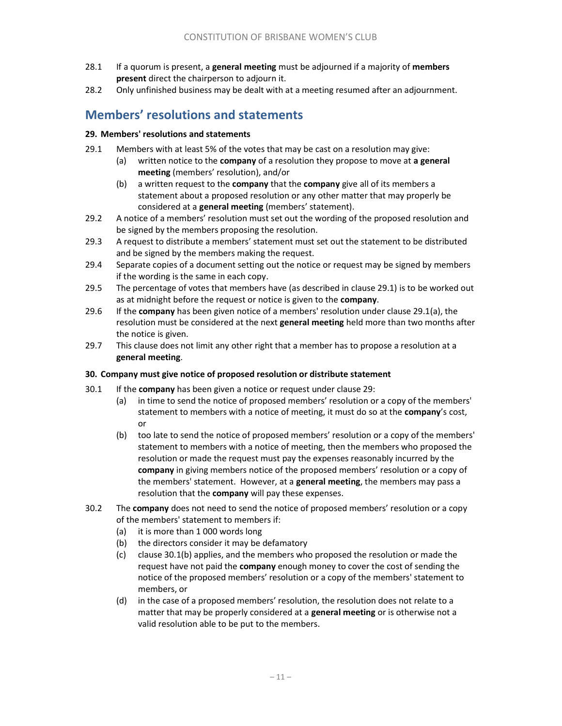- 28.1 If a quorum is present, a general meeting must be adjourned if a majority of members present direct the chairperson to adjourn it.
- 28.2 Only unfinished business may be dealt with at a meeting resumed after an adjournment.

# Members' resolutions and statements

### 29. Members' resolutions and statements

- 29.1 Members with at least 5% of the votes that may be cast on a resolution may give:
	- (a) written notice to the company of a resolution they propose to move at a general meeting (members' resolution), and/or
		- (b) a written request to the **company** that the **company** give all of its members a statement about a proposed resolution or any other matter that may properly be considered at a general meeting (members' statement).
- 29.2 A notice of a members' resolution must set out the wording of the proposed resolution and be signed by the members proposing the resolution.
- 29.3 A request to distribute a members' statement must set out the statement to be distributed and be signed by the members making the request.
- 29.4 Separate copies of a document setting out the notice or request may be signed by members if the wording is the same in each copy.
- 29.5 The percentage of votes that members have (as described in clause 29.1) is to be worked out as at midnight before the request or notice is given to the company.
- 29.6 If the company has been given notice of a members' resolution under clause 29.1(a), the resolution must be considered at the next general meeting held more than two months after the notice is given.
- 29.7 This clause does not limit any other right that a member has to propose a resolution at a general meeting.

#### 30. Company must give notice of proposed resolution or distribute statement

- 30.1 If the company has been given a notice or request under clause 29:
	- (a) in time to send the notice of proposed members' resolution or a copy of the members' statement to members with a notice of meeting, it must do so at the company's cost, or
	- (b) too late to send the notice of proposed members' resolution or a copy of the members' statement to members with a notice of meeting, then the members who proposed the resolution or made the request must pay the expenses reasonably incurred by the company in giving members notice of the proposed members' resolution or a copy of the members' statement. However, at a **general meeting**, the members may pass a resolution that the company will pay these expenses.
- 30.2 The company does not need to send the notice of proposed members' resolution or a copy of the members' statement to members if:
	- (a) it is more than 1 000 words long
	- (b) the directors consider it may be defamatory
	- (c) clause 30.1(b) applies, and the members who proposed the resolution or made the request have not paid the company enough money to cover the cost of sending the notice of the proposed members' resolution or a copy of the members' statement to members, or
	- (d) in the case of a proposed members' resolution, the resolution does not relate to a matter that may be properly considered at a **general meeting** or is otherwise not a valid resolution able to be put to the members.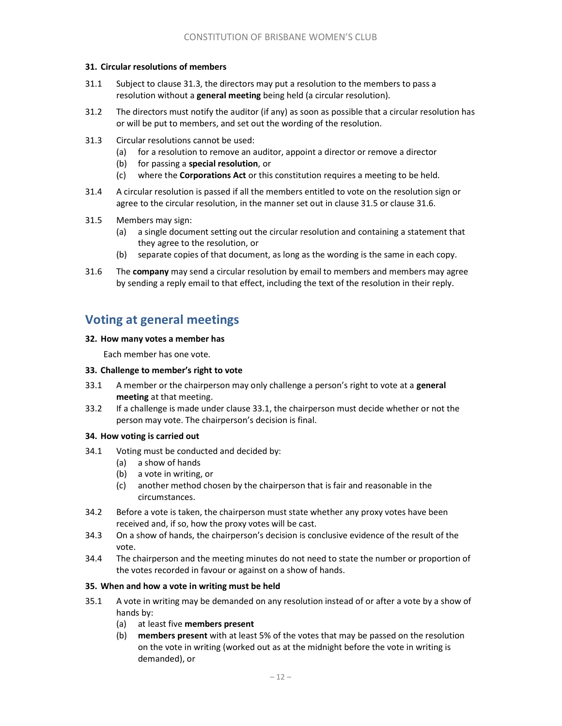#### 31. Circular resolutions of members

- 31.1 Subject to clause 31.3, the directors may put a resolution to the members to pass a resolution without a general meeting being held (a circular resolution).
- 31.2 The directors must notify the auditor (if any) as soon as possible that a circular resolution has or will be put to members, and set out the wording of the resolution.
- 31.3 Circular resolutions cannot be used:
	- (a) for a resolution to remove an auditor, appoint a director or remove a director
	- (b) for passing a special resolution, or
	- (c) where the Corporations Act or this constitution requires a meeting to be held.
- 31.4 A circular resolution is passed if all the members entitled to vote on the resolution sign or agree to the circular resolution, in the manner set out in clause 31.5 or clause 31.6.
- 31.5 Members may sign:
	- (a) a single document setting out the circular resolution and containing a statement that they agree to the resolution, or
	- (b) separate copies of that document, as long as the wording is the same in each copy.
- 31.6 The company may send a circular resolution by email to members and members may agree by sending a reply email to that effect, including the text of the resolution in their reply.

# Voting at general meetings

#### 32. How many votes a member has

Each member has one vote.

#### 33. Challenge to member's right to vote

- 33.1 A member or the chairperson may only challenge a person's right to vote at a general meeting at that meeting.
- 33.2 If a challenge is made under clause 33.1, the chairperson must decide whether or not the person may vote. The chairperson's decision is final.

#### 34. How voting is carried out

- 34.1 Voting must be conducted and decided by:
	- (a) a show of hands
	- (b) a vote in writing, or
	- (c) another method chosen by the chairperson that is fair and reasonable in the circumstances.
- 34.2 Before a vote is taken, the chairperson must state whether any proxy votes have been received and, if so, how the proxy votes will be cast.
- 34.3 On a show of hands, the chairperson's decision is conclusive evidence of the result of the vote.
- 34.4 The chairperson and the meeting minutes do not need to state the number or proportion of the votes recorded in favour or against on a show of hands.

#### 35. When and how a vote in writing must be held

- 35.1 A vote in writing may be demanded on any resolution instead of or after a vote by a show of hands by:
	- (a) at least five members present
	- (b) members present with at least 5% of the votes that may be passed on the resolution on the vote in writing (worked out as at the midnight before the vote in writing is demanded), or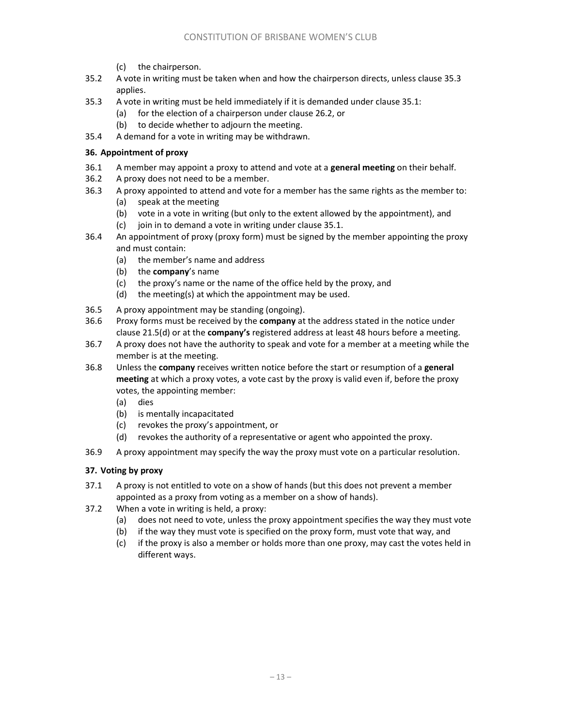- (c) the chairperson.
- 35.2 A vote in writing must be taken when and how the chairperson directs, unless clause 35.3 applies.
- 35.3 A vote in writing must be held immediately if it is demanded under clause 35.1:
	- (a) for the election of a chairperson under clause 26.2, or
	- (b) to decide whether to adjourn the meeting.
- 35.4 A demand for a vote in writing may be withdrawn.

#### 36. Appointment of proxy

- 36.1 A member may appoint a proxy to attend and vote at a general meeting on their behalf.
- 36.2 A proxy does not need to be a member.
- 36.3 A proxy appointed to attend and vote for a member has the same rights as the member to:
	- (a) speak at the meeting
	- (b) vote in a vote in writing (but only to the extent allowed by the appointment), and
	- (c) join in to demand a vote in writing under clause 35.1.
- 36.4 An appointment of proxy (proxy form) must be signed by the member appointing the proxy and must contain:
	- (a) the member's name and address
	- (b) the **company's** name
	- (c) the proxy's name or the name of the office held by the proxy, and
	- (d) the meeting(s) at which the appointment may be used.
- 36.5 A proxy appointment may be standing (ongoing).
- 36.6 Proxy forms must be received by the company at the address stated in the notice under clause 21.5(d) or at the company's registered address at least 48 hours before a meeting.
- 36.7 A proxy does not have the authority to speak and vote for a member at a meeting while the member is at the meeting.
- 36.8 Unless the company receives written notice before the start or resumption of a general meeting at which a proxy votes, a vote cast by the proxy is valid even if, before the proxy votes, the appointing member:
	- (a) dies
	- (b) is mentally incapacitated
	- (c) revokes the proxy's appointment, or
	- (d) revokes the authority of a representative or agent who appointed the proxy.
- 36.9 A proxy appointment may specify the way the proxy must vote on a particular resolution.

### 37. Voting by proxy

- 37.1 A proxy is not entitled to vote on a show of hands (but this does not prevent a member appointed as a proxy from voting as a member on a show of hands).
- 37.2 When a vote in writing is held, a proxy:
	- (a) does not need to vote, unless the proxy appointment specifies the way they must vote
	- (b) if the way they must vote is specified on the proxy form, must vote that way, and
	- (c) if the proxy is also a member or holds more than one proxy, may cast the votes held in different ways.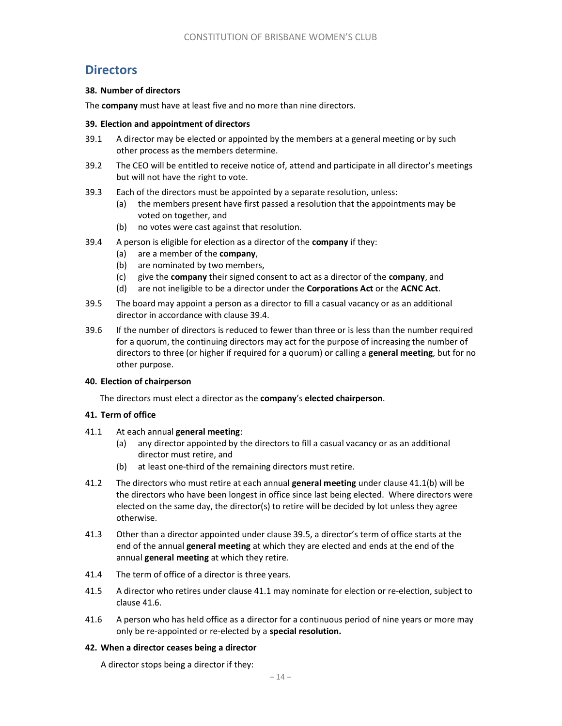### **Directors**

#### 38. Number of directors

The company must have at least five and no more than nine directors.

#### 39. Election and appointment of directors

- 39.1 A director may be elected or appointed by the members at a general meeting or by such other process as the members determine.
- 39.2 The CEO will be entitled to receive notice of, attend and participate in all director's meetings but will not have the right to vote.
- 39.3 Each of the directors must be appointed by a separate resolution, unless:
	- (a) the members present have first passed a resolution that the appointments may be voted on together, and
	- (b) no votes were cast against that resolution.
- 39.4 A person is eligible for election as a director of the company if they:
	- (a) are a member of the company,
	- (b) are nominated by two members,
	- (c) give the company their signed consent to act as a director of the company, and
	- (d) are not ineligible to be a director under the Corporations Act or the ACNC Act.
- 39.5 The board may appoint a person as a director to fill a casual vacancy or as an additional director in accordance with clause 39.4.
- 39.6 If the number of directors is reduced to fewer than three or is less than the number required for a quorum, the continuing directors may act for the purpose of increasing the number of directors to three (or higher if required for a quorum) or calling a general meeting, but for no other purpose.

#### 40. Election of chairperson

The directors must elect a director as the company's elected chairperson.

#### 41. Term of office

- 41.1 At each annual general meeting:
	- (a) any director appointed by the directors to fill a casual vacancy or as an additional director must retire, and
	- (b) at least one-third of the remaining directors must retire.
- 41.2 The directors who must retire at each annual general meeting under clause 41.1(b) will be the directors who have been longest in office since last being elected. Where directors were elected on the same day, the director(s) to retire will be decided by lot unless they agree otherwise.
- 41.3 Other than a director appointed under clause 39.5, a director's term of office starts at the end of the annual general meeting at which they are elected and ends at the end of the annual general meeting at which they retire.
- 41.4 The term of office of a director is three years.
- 41.5 A director who retires under clause 41.1 may nominate for election or re-election, subject to clause 41.6.
- 41.6 A person who has held office as a director for a continuous period of nine years or more may only be re-appointed or re-elected by a special resolution.

#### 42. When a director ceases being a director

A director stops being a director if they: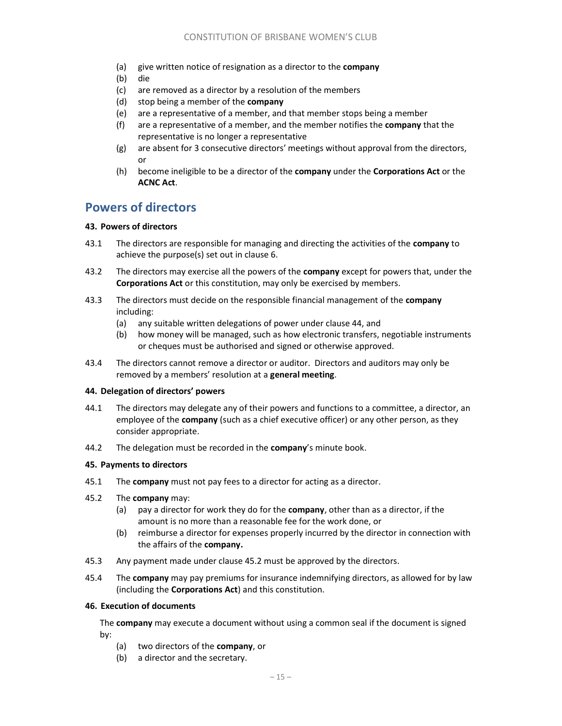- (a) give written notice of resignation as a director to the **company**
- (b) die
- (c) are removed as a director by a resolution of the members
- (d) stop being a member of the company
- (e) are a representative of a member, and that member stops being a member
- (f) are a representative of a member, and the member notifies the **company** that the representative is no longer a representative
- (g) are absent for 3 consecutive directors' meetings without approval from the directors, or
- (h) become ineligible to be a director of the company under the Corporations Act or the ACNC Act.

### Powers of directors

### 43. Powers of directors

- 43.1 The directors are responsible for managing and directing the activities of the company to achieve the purpose(s) set out in clause 6.
- 43.2 The directors may exercise all the powers of the company except for powers that, under the Corporations Act or this constitution, may only be exercised by members.
- 43.3 The directors must decide on the responsible financial management of the company including:
	- (a) any suitable written delegations of power under clause 44, and
	- (b) how money will be managed, such as how electronic transfers, negotiable instruments or cheques must be authorised and signed or otherwise approved.
- 43.4 The directors cannot remove a director or auditor. Directors and auditors may only be removed by a members' resolution at a general meeting.

#### 44. Delegation of directors' powers

- 44.1 The directors may delegate any of their powers and functions to a committee, a director, an employee of the **company** (such as a chief executive officer) or any other person, as they consider appropriate.
- 44.2 The delegation must be recorded in the company's minute book.

### 45. Payments to directors

- 45.1 The **company** must not pay fees to a director for acting as a director.
- 45.2 The company may:
	- (a) pay a director for work they do for the company, other than as a director, if the amount is no more than a reasonable fee for the work done, or
	- (b) reimburse a director for expenses properly incurred by the director in connection with the affairs of the company.
- 45.3 Any payment made under clause 45.2 must be approved by the directors.
- 45.4 The company may pay premiums for insurance indemnifying directors, as allowed for by law (including the Corporations Act) and this constitution.

### 46. Execution of documents

The **company** may execute a document without using a common seal if the document is signed by:

- (a) two directors of the company, or
- (b) a director and the secretary.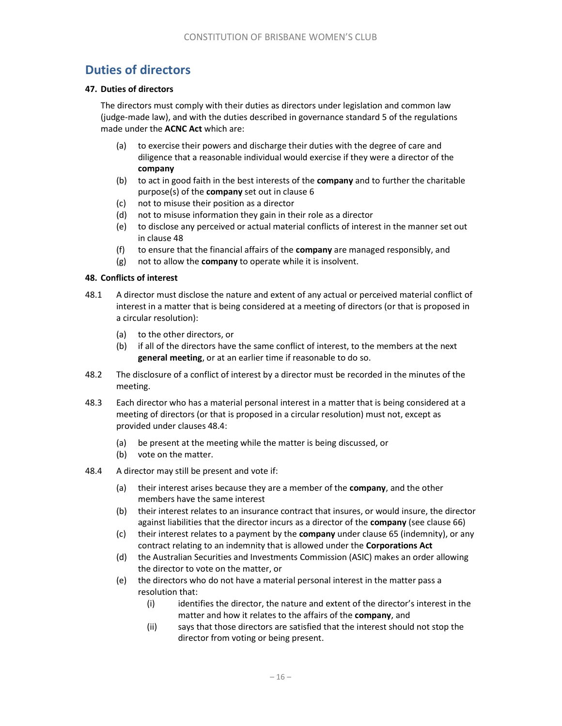# Duties of directors

#### 47. Duties of directors

The directors must comply with their duties as directors under legislation and common law (judge-made law), and with the duties described in governance standard 5 of the regulations made under the **ACNC Act** which are:

- (a) to exercise their powers and discharge their duties with the degree of care and diligence that a reasonable individual would exercise if they were a director of the company
- (b) to act in good faith in the best interests of the **company** and to further the charitable purpose(s) of the company set out in clause 6
- (c) not to misuse their position as a director
- (d) not to misuse information they gain in their role as a director
- (e) to disclose any perceived or actual material conflicts of interest in the manner set out in clause 48
- (f) to ensure that the financial affairs of the **company** are managed responsibly, and
- $(g)$  not to allow the **company** to operate while it is insolvent.

### 48. Conflicts of interest

- 48.1 A director must disclose the nature and extent of any actual or perceived material conflict of interest in a matter that is being considered at a meeting of directors (or that is proposed in a circular resolution):
	- (a) to the other directors, or
	- (b) if all of the directors have the same conflict of interest, to the members at the next general meeting, or at an earlier time if reasonable to do so.
- 48.2 The disclosure of a conflict of interest by a director must be recorded in the minutes of the meeting.
- 48.3 Each director who has a material personal interest in a matter that is being considered at a meeting of directors (or that is proposed in a circular resolution) must not, except as provided under clauses 48.4:
	- (a) be present at the meeting while the matter is being discussed, or
	- (b) vote on the matter.
- 48.4 A director may still be present and vote if:
	- (a) their interest arises because they are a member of the company, and the other members have the same interest
	- (b) their interest relates to an insurance contract that insures, or would insure, the director against liabilities that the director incurs as a director of the **company** (see clause 66)
	- (c) their interest relates to a payment by the **company** under clause 65 (indemnity), or any contract relating to an indemnity that is allowed under the Corporations Act
	- (d) the Australian Securities and Investments Commission (ASIC) makes an order allowing the director to vote on the matter, or
	- (e) the directors who do not have a material personal interest in the matter pass a resolution that:
		- (i) identifies the director, the nature and extent of the director's interest in the matter and how it relates to the affairs of the company, and
		- (ii) says that those directors are satisfied that the interest should not stop the director from voting or being present.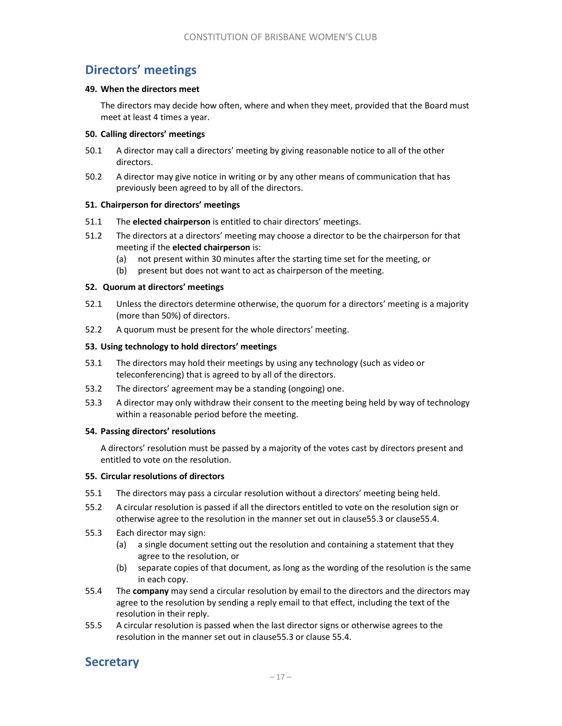# Directors' meetings

#### 49. When the directors meet

The directors may decide how often, where and when they meet, provided that the Board must meet at least 4 times a year.

#### 50. Calling directors' meetings

- 50.1 A director may call a directors' meeting by giving reasonable notice to all of the other directors.
- 50.2 A director may give notice in writing or by any other means of communication that has previously been agreed to by all of the directors.

#### 51. Chairperson for directors' meetings

- 51.1 The elected chairperson is entitled to chair directors' meetings.
- 51.2 The directors at a directors' meeting may choose a director to be the chairperson for that meeting if the elected chairperson is:
	- (a) not present within 30 minutes after the starting time set for the meeting, or
	- (b) present but does not want to act as chairperson of the meeting.

#### 52. Quorum at directors' meetings

- 52.1 Unless the directors determine otherwise, the quorum for a directors' meeting is a majority (more than 50%) of directors.
- 52.2 A quorum must be present for the whole directors' meeting.

#### 53. Using technology to hold directors' meetings

- 53.1 The directors may hold their meetings by using any technology (such as video or teleconferencing) that is agreed to by all of the directors.
- 53.2 The directors' agreement may be a standing (ongoing) one.
- 53.3 A director may only withdraw their consent to the meeting being held by way of technology within a reasonable period before the meeting.

#### 54. Passing directors' resolutions

A directors' resolution must be passed by a majority of the votes cast by directors present and entitled to vote on the resolution.

#### 55. Circular resolutions of directors

- 55.1 The directors may pass a circular resolution without a directors' meeting being held.
- 55.2 A circular resolution is passed if all the directors entitled to vote on the resolution sign or otherwise agree to the resolution in the manner set out in clause55.3 or clause55.4.
- 55.3 Each director may sign:
	- (a) a single document setting out the resolution and containing a statement that they agree to the resolution, or
	- (b) separate copies of that document, as long as the wording of the resolution is the same in each copy.
- 55.4 The company may send a circular resolution by email to the directors and the directors may agree to the resolution by sending a reply email to that effect, including the text of the resolution in their reply.
- 55.5 A circular resolution is passed when the last director signs or otherwise agrees to the resolution in the manner set out in clause55.3 or clause 55.4.

# **Secretary**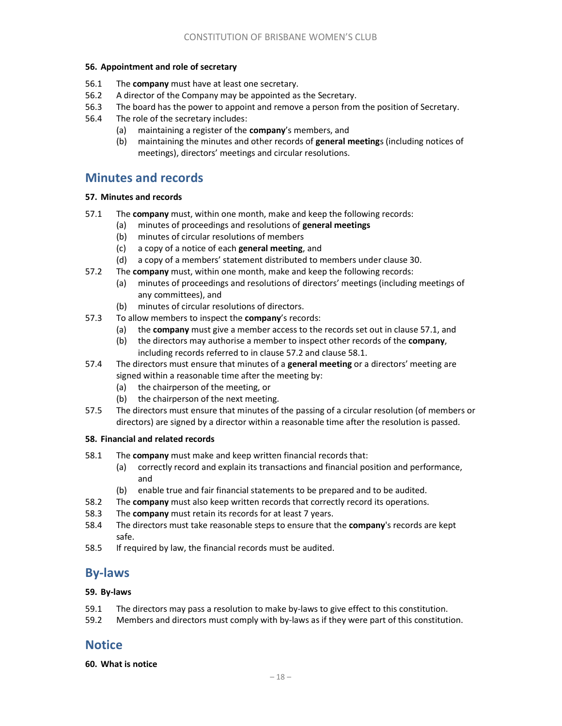#### 56. Appointment and role of secretary

- 56.1 The company must have at least one secretary.
- 56.2 A director of the Company may be appointed as the Secretary.
- 56.3 The board has the power to appoint and remove a person from the position of Secretary.
- 56.4 The role of the secretary includes:
	- (a) maintaining a register of the company's members, and
	- (b) maintaining the minutes and other records of general meetings (including notices of meetings), directors' meetings and circular resolutions.

### Minutes and records

### 57. Minutes and records

- 57.1 The company must, within one month, make and keep the following records:
	- (a) minutes of proceedings and resolutions of general meetings
		- (b) minutes of circular resolutions of members
		- (c) a copy of a notice of each general meeting, and
	- (d) a copy of a members' statement distributed to members under clause 30.
- 57.2 The company must, within one month, make and keep the following records:
	- (a) minutes of proceedings and resolutions of directors' meetings (including meetings of any committees), and
	- (b) minutes of circular resolutions of directors.
- 57.3 To allow members to inspect the company's records:
	- (a) the company must give a member access to the records set out in clause 57.1, and
	- (b) the directors may authorise a member to inspect other records of the **company**, including records referred to in clause 57.2 and clause 58.1.
- 57.4 The directors must ensure that minutes of a general meeting or a directors' meeting are signed within a reasonable time after the meeting by:
	- (a) the chairperson of the meeting, or
	- (b) the chairperson of the next meeting.
- 57.5 The directors must ensure that minutes of the passing of a circular resolution (of members or directors) are signed by a director within a reasonable time after the resolution is passed.

#### 58. Financial and related records

- 58.1 The company must make and keep written financial records that:
	- (a) correctly record and explain its transactions and financial position and performance, and
	- (b) enable true and fair financial statements to be prepared and to be audited.
- 58.2 The company must also keep written records that correctly record its operations.
- 58.3 The company must retain its records for at least 7 years.
- 58.4 The directors must take reasonable steps to ensure that the company's records are kept safe.
- 58.5 If required by law, the financial records must be audited.

### By-laws

### 59. By-laws

- 59.1 The directors may pass a resolution to make by-laws to give effect to this constitution.
- 59.2 Members and directors must comply with by-laws as if they were part of this constitution.

### **Notice**

60. What is notice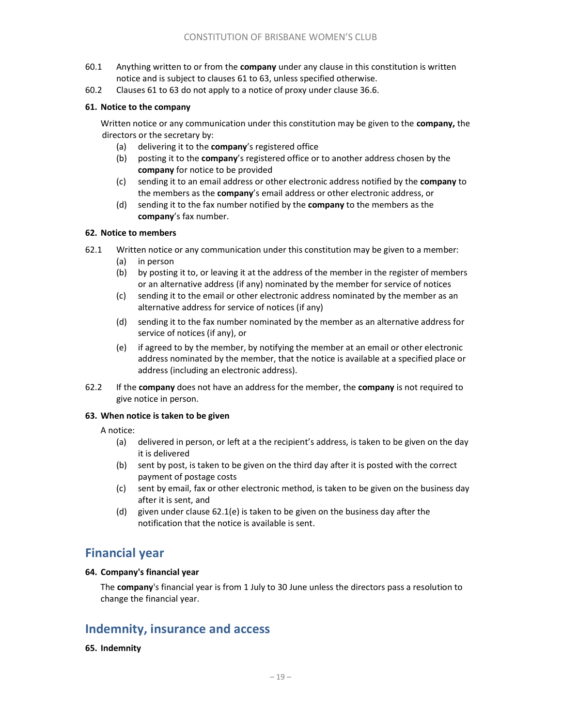- 60.1 Anything written to or from the company under any clause in this constitution is written notice and is subject to clauses 61 to 63, unless specified otherwise.
- 60.2 Clauses 61 to 63 do not apply to a notice of proxy under clause 36.6.

### 61. Notice to the company

Written notice or any communication under this constitution may be given to the company, the directors or the secretary by:

- (a) delivering it to the company's registered office
- (b) posting it to the **company'**s registered office or to another address chosen by the company for notice to be provided
- (c) sending it to an email address or other electronic address notified by the company to the members as the company's email address or other electronic address, or
- (d) sending it to the fax number notified by the **company** to the members as the company's fax number.

#### 62. Notice to members

- 62.1 Written notice or any communication under this constitution may be given to a member:
	- (a) in person
	- (b) by posting it to, or leaving it at the address of the member in the register of members or an alternative address (if any) nominated by the member for service of notices
	- (c) sending it to the email or other electronic address nominated by the member as an alternative address for service of notices (if any)
	- (d) sending it to the fax number nominated by the member as an alternative address for service of notices (if any), or
	- (e) if agreed to by the member, by notifying the member at an email or other electronic address nominated by the member, that the notice is available at a specified place or address (including an electronic address).
- 62.2 If the **company** does not have an address for the member, the **company** is not required to give notice in person.

#### 63. When notice is taken to be given

A notice:

- (a) delivered in person, or left at a the recipient's address, is taken to be given on the day it is delivered
- (b) sent by post, is taken to be given on the third day after it is posted with the correct payment of postage costs
- (c) sent by email, fax or other electronic method, is taken to be given on the business day after it is sent, and
- (d) given under clause 62.1(e) is taken to be given on the business day after the notification that the notice is available is sent.

### Financial year

#### 64. Company's financial year

The company's financial year is from 1 July to 30 June unless the directors pass a resolution to change the financial year.

# Indemnity, insurance and access

### 65. Indemnity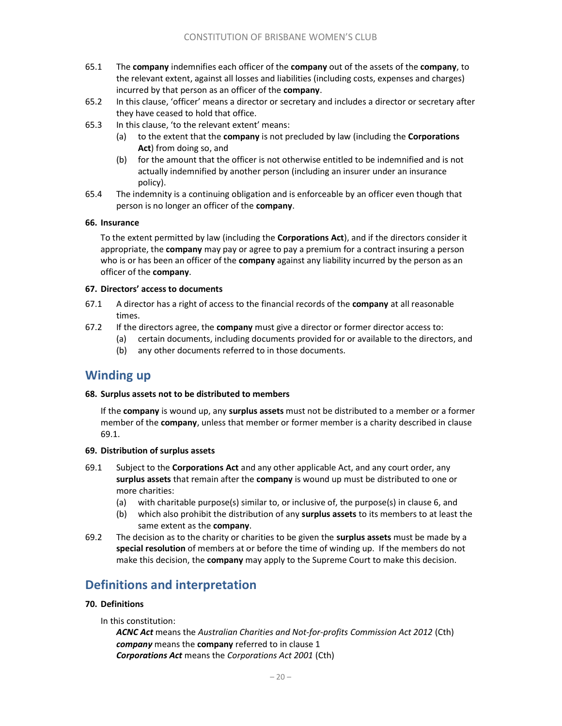- 65.1 The company indemnifies each officer of the company out of the assets of the company, to the relevant extent, against all losses and liabilities (including costs, expenses and charges) incurred by that person as an officer of the company.
- 65.2 In this clause, 'officer' means a director or secretary and includes a director or secretary after they have ceased to hold that office.
- 65.3 In this clause, 'to the relevant extent' means:
	- (a) to the extent that the company is not precluded by law (including the Corporations Act) from doing so, and
	- (b) for the amount that the officer is not otherwise entitled to be indemnified and is not actually indemnified by another person (including an insurer under an insurance policy).
- 65.4 The indemnity is a continuing obligation and is enforceable by an officer even though that person is no longer an officer of the company.

### 66. Insurance

To the extent permitted by law (including the Corporations Act), and if the directors consider it appropriate, the company may pay or agree to pay a premium for a contract insuring a person who is or has been an officer of the company against any liability incurred by the person as an officer of the company.

### 67. Directors' access to documents

- 67.1 A director has a right of access to the financial records of the company at all reasonable times.
- 67.2 If the directors agree, the company must give a director or former director access to:
	- (a) certain documents, including documents provided for or available to the directors, and
	- (b) any other documents referred to in those documents.

# Winding up

#### 68. Surplus assets not to be distributed to members

If the **company** is wound up, any **surplus assets** must not be distributed to a member or a former member of the **company**, unless that member or former member is a charity described in clause 69.1.

#### 69. Distribution of surplus assets

- 69.1 Subject to the Corporations Act and any other applicable Act, and any court order, any surplus assets that remain after the company is wound up must be distributed to one or more charities:
	- (a) with charitable purpose(s) similar to, or inclusive of, the purpose(s) in clause 6, and
	- (b) which also prohibit the distribution of any surplus assets to its members to at least the same extent as the company.
- 69.2 The decision as to the charity or charities to be given the surplus assets must be made by a special resolution of members at or before the time of winding up. If the members do not make this decision, the company may apply to the Supreme Court to make this decision.

# Definitions and interpretation

### 70. Definitions

In this constitution:

ACNC Act means the Australian Charities and Not-for-profits Commission Act 2012 (Cth) company means the company referred to in clause 1 Corporations Act means the Corporations Act 2001 (Cth)